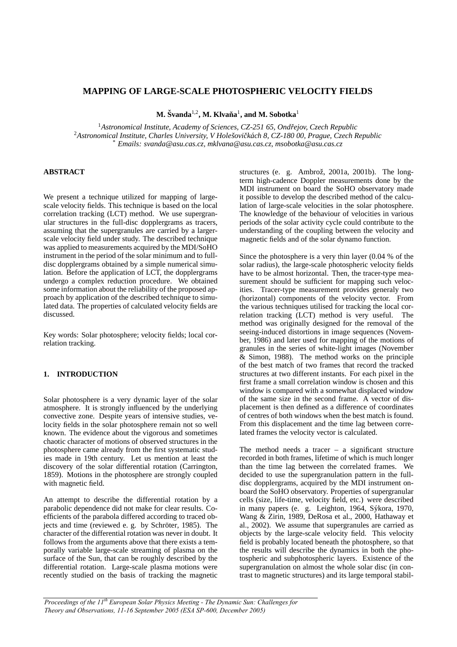# **MAPPING OF LARGE-SCALE PHOTOSPHERIC VELOCITY FIELDS**

 $\mathbf{M}.$  Švanda<sup>1,2</sup>,  $\mathbf{M}.$  Klvaňa $^{1}$ , and  $\mathbf{M}.$  Sobotka $^{1}$ 

<sup>1</sup>*Astronomical Institute, Academy of Sciences, CZ-251 65, Ondrejov, Czech Republic ˇ* <sup>2</sup>*Astronomical Institute, Charles University, V Holesovi ˇ ckˇ ach 8, CZ-180 00, Prague, Czech Republic ´* \* *Emails: svanda@asu.cas.cz, mklvana@asu.cas.cz, msobotka@asu.cas.cz*

## **ABSTRACT**

We present a technique utilized for mapping of largescale velocity fields. This technique is based on the local correlation tracking (LCT) method. We use supergranular structures in the full-disc dopplergrams as tracers, assuming that the supergranules are carried by a largerscale velocity field under study. The described technique was applied to measurements acquired by the MDI/SoHO instrument in the period of the solar minimum and to fulldisc dopplergrams obtained by a simple numerical simulation. Before the application of LCT, the dopplergrams undergo a complex reduction procedure. We obtained some information about the reliability of the proposed approach by application of the described technique to simulated data. The properties of calculated velocity fields are discussed.

Key words: Solar photosphere; velocity fields; local correlation tracking.

## **1. INTRODUCTION**

Solar photosphere is a very dynamic layer of the solar atmosphere. It is strongly influenced by the underlying convective zone. Despite years of intensive studies, velocity fields in the solar photosphere remain not so well known. The evidence about the vigorous and sometimes chaotic character of motions of observed structures in the photosphere came already from the first systematic studies made in 19th century. Let us mention at least the discovery of the solar differential rotation (Carrington, 1859). Motions in the photosphere are strongly coupled with magnetic field.

An attempt to describe the differential rotation by a parabolic dependence did not make for clear results. Coefficients of the parabola differed according to traced objects and time (reviewed e. g. by Schröter, 1985). The character of the differential rotation was never in doubt. It follows from the arguments above that there exists a temporally variable large-scale streaming of plasma on the surface of the Sun, that can be roughly described by the differential rotation. Large-scale plasma motions were recently studied on the basis of tracking the magnetic structures (e. g. Ambrož, 2001a, 2001b). The longterm high-cadence Doppler measurements done by the MDI instrument on board the SoHO observatory made it possible to develop the described method of the calculation of large-scale velocities in the solar photosphere. The knowledge of the behaviour of velocities in various periods of the solar activity cycle could contribute to the understanding of the coupling between the velocity and magnetic fields and of the solar dynamo function.

Since the photosphere is a very thin layer (0.04 % of the solar radius), the large-scale photospheric velocity fields have to be almost horizontal. Then, the tracer-type measurement should be sufficient for mapping such velocities. Tracer-type measurement provides generaly two (horizontal) components of the velocity vector. From the various techniques utilised for tracking the local correlation tracking (LCT) method is very useful. The method was originally designed for the removal of the seeing-induced distortions in image sequences (November, 1986) and later used for mapping of the motions of granules in the series of white-light images (November & Simon, 1988). The method works on the principle of the best match of two frames that record the tracked structures at two different instants. For each pixel in the first frame a small correlation window is chosen and this window is compared with a somewhat displaced window of the same size in the second frame. A vector of displacement is then defined as a difference of coordinates of centres of both windows when the best match is found. From this displacement and the time lag between correlated frames the velocity vector is calculated.

The method needs a tracer  $-$  a significant structure recorded in both frames, lifetime of which is much longer than the time lag between the correlated frames. We decided to use the supergranulation pattern in the fulldisc dopplergrams, acquired by the MDI instrument onboard the SoHO observatory. Properties of supergranular cells (size, life-time, velocity field, etc.) were described in many papers (e. g. Leighton, 1964, Sýkora, 1970, Wang & Zirin, 1989, DeRosa et al., 2000, Hathaway et al., 2002). We assume that supergranules are carried as objects by the large-scale velocity field. This velocity field is probably located beneath the photosphere, so that the results will describe the dynamics in both the photospheric and subphotospheric layers. Existence of the supergranulation on almost the whole solar disc (in contrast to magnetic structures) and its large temporal stabil-

*Proceedings of the 11th European Solar Physics Meeting - The Dynamic Sun: Challenges for Theory and Observations, 11-16 September 2005 (ESA SP-600, December 2005)*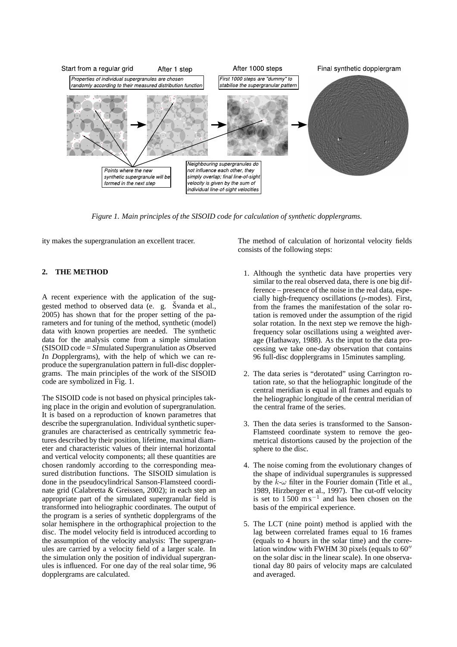

*Figure 1. Main principles of the SISOID code for calculation of synthetic dopplergrams.*

ity makes the supergranulation an excellent tracer.

# **2. THE METHOD**

A recent experience with the application of the suggested method to observed data (e. g. Švanda et al., 2005) has shown that for the proper setting of the parameters and for tuning of the method, synthetic (model) data with known properties are needed. The synthetic data for the analysis come from a simple simulation (SISOID code = *SI*mulated *S*upergranulation as *O*bserved *I*n *D*opplergrams), with the help of which we can reproduce the supergranulation pattern in full-disc dopplergrams. The main principles of the work of the SISOID code are symbolized in Fig. 1.

The SISOID code is not based on physical principles taking place in the origin and evolution of supergranulation. It is based on a reproduction of known parametres that describe the supergranulation. Individual synthetic supergranules are characterised as centrically symmetric features described by their position, lifetime, maximal diameter and characteristic values of their internal horizontal and vertical velocity components; all these quantities are chosen randomly according to the corresponding measured distribution functions. The SISOID simulation is done in the pseudocylindrical Sanson-Flamsteed coordinate grid (Calabretta & Greissen, 2002); in each step an appropriate part of the simulated supergranular field is transformed into heliographic coordinates. The output of the program is a series of synthetic dopplergrams of the solar hemisphere in the orthographical projection to the disc. The model velocity field is introduced according to the assumption of the velocity analysis: The supergranules are carried by a velocity field of a larger scale. In the simulation only the position of individual supergranules is influenced. For one day of the real solar time, 96 dopplergrams are calculated.

The method of calculation of horizontal velocity fields consists of the following steps:

- 1. Although the synthetic data have properties very similar to the real observed data, there is one big difference – presence of the noise in the real data, especially high-frequency oscillations (p-modes). First, from the frames the manifestation of the solar rotation is removed under the assumption of the rigid solar rotation. In the next step we remove the highfrequency solar oscillations using a weighted average (Hathaway, 1988). As the input to the data processing we take one-day observation that contains 96 full-disc dopplergrams in 15minutes sampling.
- 2. The data series is "derotated" using Carrington rotation rate, so that the heliographic longitude of the central meridian is equal in all frames and equals to the heliographic longitude of the central meridian of the central frame of the series.
- 3. Then the data series is transformed to the Sanson-Flamsteed coordinate system to remove the geometrical distortions caused by the projection of the sphere to the disc.
- 4. The noise coming from the evolutionary changes of the shape of individual supergranules is suppressed by the  $k-\omega$  filter in the Fourier domain (Title et al., 1989, Hirzberger et al., 1997). The cut-off velocity is set to  $1500 \text{ m s}^{-1}$  and has been chosen on the basis of the empirical experience.
- 5. The LCT (nine point) method is applied with the lag between correlated frames equal to 16 frames (equals to 4 hours in the solar time) and the correlation window with FWHM 30 pixels (equals to  $60''$ ) on the solar disc in the linear scale). In one observational day 80 pairs of velocity maps are calculated and averaged.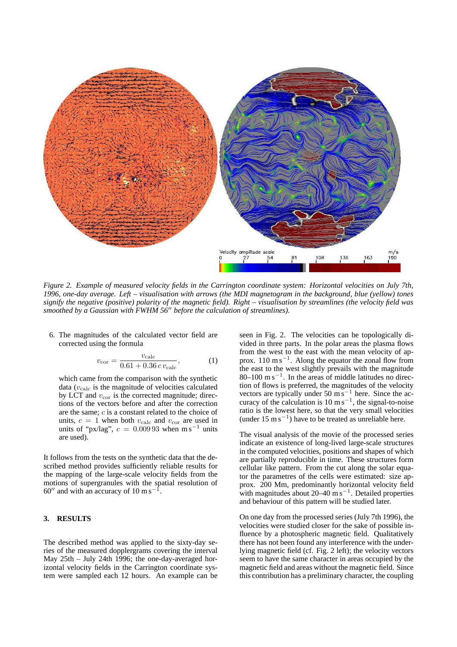

*Figure 2. Example of measured velocity fields in the Carrington coordinate system: Horizontal velocities on July 7th, 1996, one-day average. Left – visualisation with arrows (the MDI magnetogram in the background, blue (yellow) tones signify the negative (positive) polarity of the magnetic field). Right – visualisation by streamlines (the velocity field was smoothed by a Gaussian with FWHM 56<sup>th</sup> before the calculation of streamlines).* 

6. The magnitudes of the calculated vector field are corrected using the formula

$$
v_{\rm cor} = \frac{v_{\rm calc}}{0.61 + 0.36 \, c \, v_{\rm calc}},\tag{1}
$$

which came from the comparison with the synthetic data ( $v_{\rm calc}$  is the magnitude of velocities calculated by LCT and  $v_{\rm cor}$  is the corrected magnitude; directions of the vectors before and after the correction are the same; c is a constant related to the choice of units,  $c = 1$  when both  $v_{\text{calc}}$  and  $v_{\text{cor}}$  are used in units of "px/lag",  $c = 0.00993$  when m s<sup>-1</sup> units are used).

It follows from the tests on the synthetic data that the described method provides sufficiently reliable results for the mapping of the large-scale velocity fields from the motions of supergranules with the spatial resolution of  $60''$  and with an accuracy of 10 m s<sup>-1</sup> .

### **3. RESULTS**

The described method was applied to the sixty-day series of the measured dopplergrams covering the interval May 25th – July 24th 1996; the one-day-averaged horizontal velocity fields in the Carrington coordinate system were sampled each 12 hours. An example can be seen in Fig. 2. The velocities can be topologically divided in three parts. In the polar areas the plasma flows from the west to the east with the mean velocity of approx.  $110 \text{ m s}^{-1}$ . Along the equator the zonal flow from the east to the west slightly prevails with the magnitude  $80-100 \text{ m s}^{-1}$ . In the areas of middle latitudes no direction of flows is preferred, the magnitudes of the velocity vectors are typically under 50 m s<sup>-1</sup> here. Since the accuracy of the calculation is  $10 \text{ m s}^{-1}$ , the signal-to-noise ratio is the lowest here, so that the very small velocities (under 15 m s<sup>−</sup><sup>1</sup> ) have to be treated as unreliable here.

The visual analysis of the movie of the processed series indicate an existence of long-lived large-scale structures in the computed velocities, positions and shapes of which are partially reproducible in time. These structures form cellular like pattern. From the cut along the solar equator the parametres of the cells were estimated: size approx. 200 Mm, predominantly horizontal velocity field with magnitudes about  $20-40$  m s<sup>-1</sup>. Detailed properties and behaviour of this pattern will be studied later.

On one day from the processed series (July 7th 1996), the velocities were studied closer for the sake of possible influence by a photospheric magnetic field. Qualitatively there has not been found any interference with the underlying magnetic field (cf. Fig. 2 left); the velocity vectors seem to have the same character in areas occupied by the magnetic field and areas without the magnetic field. Since this contribution has a preliminary character, the coupling